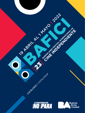CATALOGO CATALOGUE **LA TRANSFORMACIÓN**  $\mathbf{L}$ 

19 Asklupt 1 Miles 2022